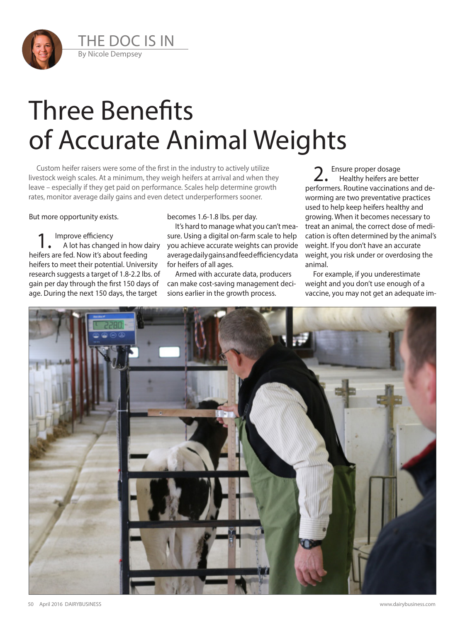

## Three Benefits of Accurate Animal Weights

Custom heifer raisers were some of the first in the industry to actively utilize livestock weigh scales. At a minimum, they weigh heifers at arrival and when they leave – especially if they get paid on performance. Scales help determine growth rates, monitor average daily gains and even detect underperformers sooner.

But more opportunity exists.

Improve efficiency

A lot has changed in how dairy heifers are fed. Now it's about feeding heifers to meet their potential. University research suggests a target of 1.8-2.2 lbs. of gain per day through the first 150 days of age. During the next 150 days, the target

becomes 1.6-1.8 lbs. per day.

It's hard to manage what you can't measure. Using a digital on-farm scale to help you achieve accurate weights can provide average daily gains and feed efficiency data for heifers of all ages.

Armed with accurate data, producers can make cost-saving management decisions earlier in the growth process.

Ensure proper dosage Healthy heifers are better performers. Routine vaccinations and deworming are two preventative practices used to help keep heifers healthy and growing. When it becomes necessary to treat an animal, the correct dose of medication is often determined by the animal's weight. If you don't have an accurate weight, you risk under or overdosing the animal.

For example, if you underestimate weight and you don't use enough of a vaccine, you may not get an adequate im-